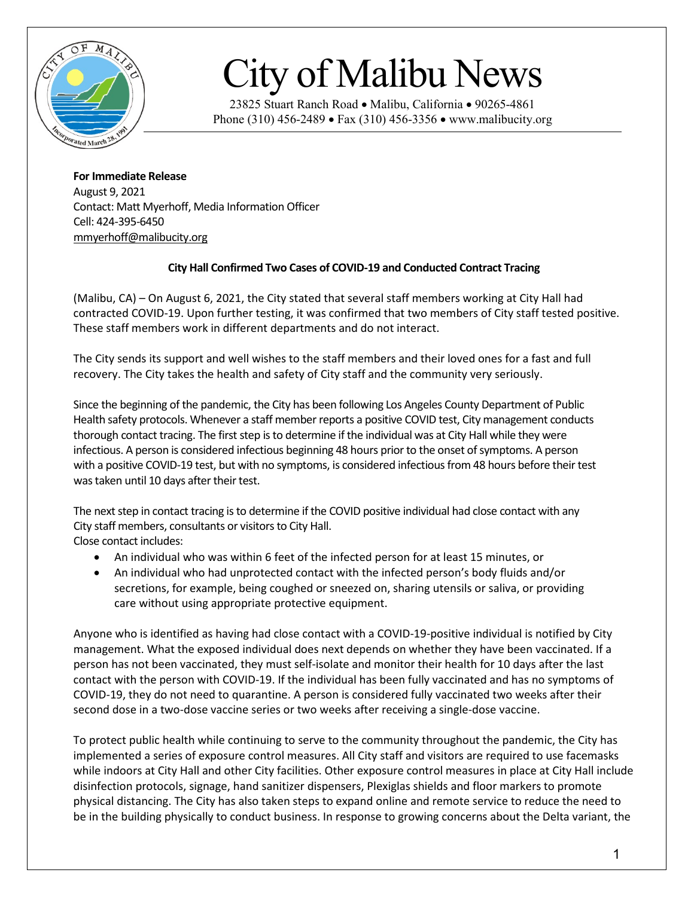

## City of Malibu News

23825 Stuart Ranch Road • Malibu, California • 90265-4861 Phone (310) 456-2489 • Fax (310) 456-3356 • www.malibucity.org

**For Immediate Release** August 9, 2021 Contact: Matt Myerhoff, Media Information Officer Cell: 424-395-6450 [mmyerhoff@malibucity.org](mailto:mmyerhoff@malibucity.org)

## **City Hall Confirmed Two Cases of COVID-19 and Conducted Contract Tracing**

(Malibu, CA) – On August 6, 2021, the City stated that several staff members working at City Hall had contracted COVID-19. Upon further testing, it was confirmed that two members of City staff tested positive. These staff members work in different departments and do not interact.

The City sends its support and well wishes to the staff members and their loved ones for a fast and full recovery. The City takes the health and safety of City staff and the community very seriously.

Since the beginning of the pandemic, the City has been following Los Angeles County Department of Public Health safety protocols. Whenever a staff member reports a positive COVID test, City management conducts thorough contact tracing. The first step is to determine if the individual was at City Hall while they were infectious. A person is considered infectious beginning 48 hours prior to the onset of symptoms. A person with a positive COVID-19 test, but with no symptoms, is considered infectious from 48 hours before their test was taken until 10 days after their test.

The next step in contact tracing is to determine if the COVID positive individual had close contact with any City staff members, consultants or visitors to City Hall.

Close contact includes:

- An individual who was within 6 feet of the infected person for at least 15 minutes, or
- An individual who had unprotected contact with the infected person's body fluids and/or secretions, for example, being coughed or sneezed on, sharing utensils or saliva, or providing care without using appropriate protective equipment.

Anyone who is identified as having had close contact with a COVID-19-positive individual is notified by City management. What the exposed individual does next depends on whether they have been vaccinated. If a person has not been vaccinated, they must self-isolate and monitor their health for 10 days after the last contact with the person with COVID-19. If the individual has been fully vaccinated and has no symptoms of COVID-19, they do not need to quarantine. A person is considered fully vaccinated two weeks after their second dose in a two-dose vaccine series or two weeks after receiving a single-dose vaccine.

To protect public health while continuing to serve to the community throughout the pandemic, the City has implemented a series of exposure control measures. All City staff and visitors are required to use facemasks while indoors at City Hall and other City facilities. Other exposure control measures in place at City Hall include disinfection protocols, signage, hand sanitizer dispensers, Plexiglas shields and floor markers to promote physical distancing. The City has also taken steps to expand online and remote service to reduce the need to be in the building physically to conduct business. In response to growing concerns about the Delta variant, the